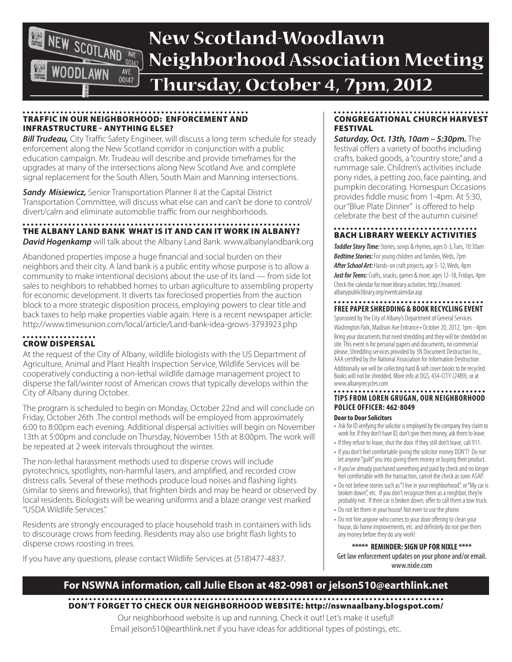

# **New Scotland-Woodlawn Neighborhood Association Meeting**

**Thursday, October 4, 7pm, 2012**

### Traffic in our Neighborhood: Enforcement and Infrastructure - Anything Else?

**Bill Trudeau,** City Traffic Safety Engineer, will discuss a long term schedule for steady enforcement along the New Scotland corridor in conjunction with a public education campaign. Mr. Trudeau will describe and provide timeframes for the upgrades at many of the intersections along New Scotland Ave. and complete signal replacement for the South Allen, South Main and Manning intersections.

**Sandy Misiewicz,** Senior Transportation Planner II at the Capital District Transportation Committee, will discuss what else can and can't be done to control/ divert/calm and eliminate automoblie traffic from our neighborhoods.

#### The Albany Land Bank what is it and can it work in Albany?

**David Hogenkamp** will talk about the Albany Land Bank. www.albanylandbank.org

Abandoned properties impose a huge financial and social burden on their neighbors and their city. A land bank is a public entity whose purpose is to allow a community to make intentional decisions about the use of its land — from side lot sales to neighbors to rehabbed homes to urban agriculture to assembling property for economic development. It diverts tax foreclosed properties from the auction block to a more strategic disposition process, employing powers to clear title and back taxes to help make properties viable again. Here is a recent newspaper article: http://www.timesunion.com/local/article/Land-bank-idea-grows-3793923.php

## Crow Dispersal

At the request of the City of Albany, wildlife biologists with the US Department of Agriculture, Animal and Plant Health Inspection Service, Wildlife Services will be cooperatively conducting a non-lethal wildlife damage management project to disperse the fall/winter roost of American crows that typically develops within the City of Albany during October.

The program is scheduled to begin on Monday, October 22nd and will conclude on Friday, October 26th .The control methods will be employed from approximately 6:00 to 8:00pm each evening. Additional dispersal activities will begin on November 13th at 5:00pm and conclude on Thursday, November 15th at 8:00pm. The work will be repeated at 2 week intervals throughout the winter.

The non-lethal harassment methods used to disperse crows will include pyrotechnics, spotlights, non-harmful lasers, and amplified, and recorded crow distress calls. Several of these methods produce loud noises and flashing lights (similar to sirens and fireworks), that frighten birds and may be heard or observed by local residents. Biologists will be wearing uniforms and a blaze orange vest marked "USDA Wildlife Services."

Residents are strongly encouraged to place household trash in containers with lids to discourage crows from feeding. Residents may also use bright flash lights to disperse crows roosting in trees.

If you have any questions, please contact Wildlife Services at (518)477-4837.

## Congregational Church Harvest Festival

*Saturday, Oct. 13th, 10am – 5:30pm.* The festival offers a variety of booths including crafts, baked goods, a "country store," and a rummage sale. Children's activities include pony rides, a petting zoo, face painting, and pumpkin decorating. Homespun Occasions provides fiddle music from 1-4pm. At 5:30, our "Blue Plate Dinner" is offered to help celebrate the best of the autumn cuisine!

## Bach Library weekly activities

**Toddler Story Time:** Stories, songs & rhymes, ages 0-3, Tues, 10:30am *Bedtime Stories:*For young children and families, Weds, 7pm *After School Art:* Hands-on craft projects, age 5-12, Weds, 4pm *Just for Teens:* Crafts, snacks, games & more, ages 12-18, Fridays, 4pm Check the calendar for more library activities: http://evanced. albanypubliclibrary.org/eventcalendar.asp

#### **FREE paper shredding & Book recycling event**

Sponsored by the City of Albany's Department of General Services Washington Park, Madison Ave Entrance • October 20, 2012, 1pm - 4pm Bring your documents that need shredding and they will be shredded on site. This event is for personal papers and documents, no commercial please. Shredding services provided by 3N Document Destruction Inc., AAA certified by the National Association for Information Destruction Additionally we will be collecting hard & soft cover books to be recycled. Books will not be shredded. More info at DGS, 434-CITY (2489), or at www.albanyrecycles.com

#### . . . . . . . . . . . . . . **Tips from Loren Grugan, our Neighborhood Police Officer: 462-8049**

#### **Door to Door Solicitors**

- Ask for ID verifying the solicitor is employed by the company they claim to work for. If they don't have ID, don't give them money, ask them to leave.
- If they refuse to leave, shut the door. If they still don't leave, call 911.
- If you don't feel comfortable giving the solicitor money DON'T! Do not let anyone "guilt" you into giving them money or buying their product.
- If you've already purchased something and paid by check and no longer feel comfortable with the transaction, cancel the check as soon ASAP.
- Do not believe stories such as "I live in your neighborhood", or "My car is broken down", etc. If you don't recognize them as a neighbor, they're probably not. If their car is broken down, offer to call them a tow truck.
- Do not let them in your house! Not even to use the phone.
- Do not hire anyone who comes to your door offering to clean your house, do home improvements, etc. and definitely do not give them any money before they do any work!

**\*\*\*\*\* REMINDER: SIGN UP FOR NIXLE \*\*\*\***  Get law enforcement updates on your phone and/or email. www.nixle.com

## **For NSWNA information, call Julie Elson at 482-0981 or jelson510@earthlink.net**

Don't forget to check our Neighborhood website: http://nswnaalbany.blogspot.com/

Our neighborhood website is up and running. Check it out! Let's make it useful! Email jelson510@earthlink.net if you have ideas for additional types of postings, etc.